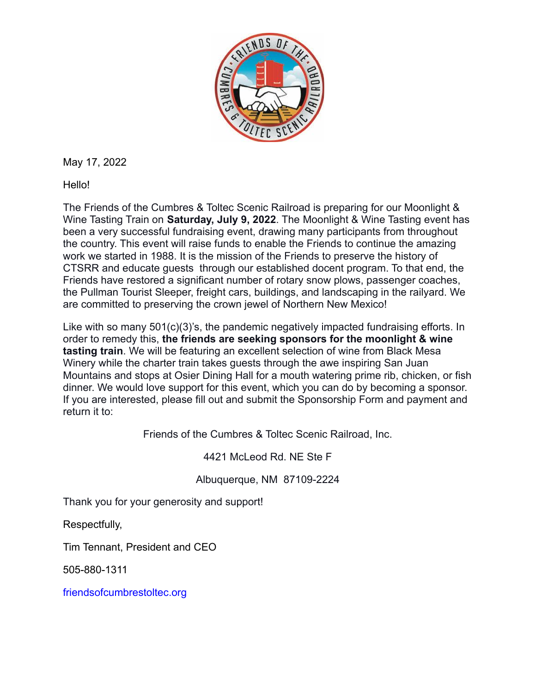

May 17, 2022

Hello!

The Friends of the Cumbres & Toltec Scenic Railroad is preparing for our Moonlight & Wine Tasting Train on **Saturday, July 9, 2022**. The Moonlight & Wine Tasting event has been a very successful fundraising event, drawing many participants from throughout the country. This event will raise funds to enable the Friends to continue the amazing work we started in 1988. It is the mission of the Friends to preserve the history of CTSRR and educate guests through our established docent program. To that end, the Friends have restored a significant number of rotary snow plows, passenger coaches, the Pullman Tourist Sleeper, freight cars, buildings, and landscaping in the railyard. We are committed to preserving the crown jewel of Northern New Mexico!

Like with so many 501(c)(3)'s, the pandemic negatively impacted fundraising efforts. In order to remedy this, **the friends are seeking sponsors for the moonlight & wine tasting train**. We will be featuring an excellent selection of wine from Black Mesa Winery while the charter train takes guests through the awe inspiring San Juan Mountains and stops at Osier Dining Hall for a mouth watering prime rib, chicken, or fish dinner. We would love support for this event, which you can do by becoming a sponsor. If you are interested, please fill out and submit the Sponsorship Form and payment and return it to:

Friends of the Cumbres & Toltec Scenic Railroad, Inc.

4421 McLeod Rd. NE Ste F

Albuquerque, NM 87109-2224

Thank you for your generosity and support!

Respectfully,

Tim Tennant, President and CEO

505-880-1311

friendsofcumbrestoltec.org